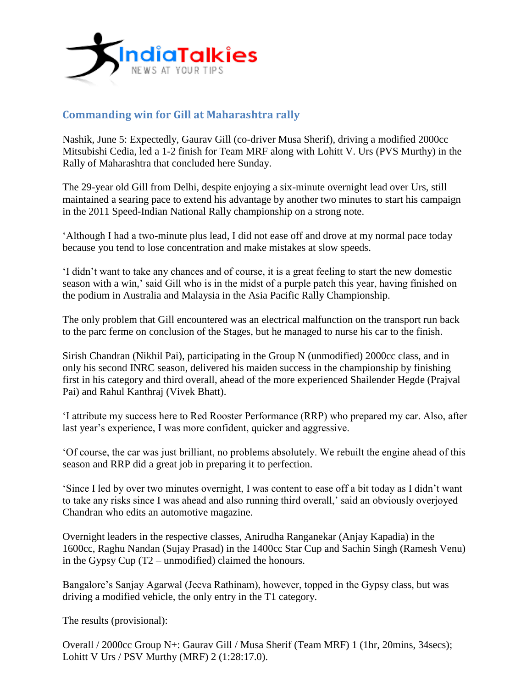

## **Commanding win for Gill at Maharashtra rally**

Nashik, June 5: Expectedly, Gaurav Gill (co-driver Musa Sherif), driving a modified 2000cc Mitsubishi Cedia, led a 1-2 finish for Team MRF along with Lohitt V. Urs (PVS Murthy) in the Rally of Maharashtra that concluded here Sunday.

The 29-year old Gill from Delhi, despite enjoying a six-minute overnight lead over Urs, still maintained a searing pace to extend his advantage by another two minutes to start his campaign in the 2011 Speed-Indian National Rally championship on a strong note.

'Although I had a two-minute plus lead, I did not ease off and drove at my normal pace today because you tend to lose concentration and make mistakes at slow speeds.

'I didn't want to take any chances and of course, it is a great feeling to start the new domestic season with a win,' said Gill who is in the midst of a purple patch this year, having finished on the podium in Australia and Malaysia in the Asia Pacific Rally Championship.

The only problem that Gill encountered was an electrical malfunction on the transport run back to the parc ferme on conclusion of the Stages, but he managed to nurse his car to the finish.

Sirish Chandran (Nikhil Pai), participating in the Group N (unmodified) 2000cc class, and in only his second INRC season, delivered his maiden success in the championship by finishing first in his category and third overall, ahead of the more experienced Shailender Hegde (Prajval Pai) and Rahul Kanthraj (Vivek Bhatt).

'I attribute my success here to Red Rooster Performance (RRP) who prepared my car. Also, after last year's experience, I was more confident, quicker and aggressive.

'Of course, the car was just brilliant, no problems absolutely. We rebuilt the engine ahead of this season and RRP did a great job in preparing it to perfection.

'Since I led by over two minutes overnight, I was content to ease off a bit today as I didn't want to take any risks since I was ahead and also running third overall,' said an obviously overjoyed Chandran who edits an automotive magazine.

Overnight leaders in the respective classes, Anirudha Ranganekar (Anjay Kapadia) in the 1600cc, Raghu Nandan (Sujay Prasad) in the 1400cc Star Cup and Sachin Singh (Ramesh Venu) in the Gypsy Cup (T2 – unmodified) claimed the honours.

Bangalore's Sanjay Agarwal (Jeeva Rathinam), however, topped in the Gypsy class, but was driving a modified vehicle, the only entry in the T1 category.

The results (provisional):

Overall / 2000cc Group N+: Gaurav Gill / Musa Sherif (Team MRF) 1 (1hr, 20mins, 34secs); Lohitt V Urs / PSV Murthy (MRF) 2 (1:28:17.0).